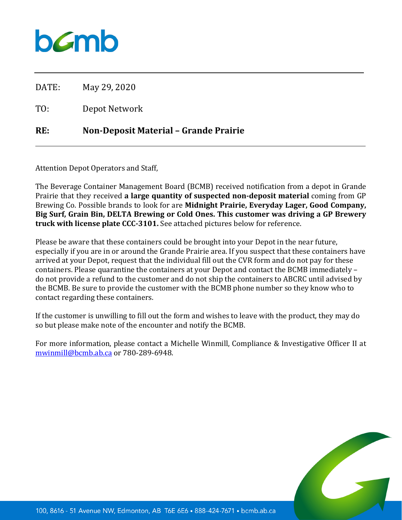

DATE: May 29, 2020

TO: Depot Network

## **RE: Non-Deposit Material – Grande Prairie**

Attention Depot Operators and Staff,

The Beverage Container Management Board (BCMB) received notification from a depot in Grande Prairie that they received **a large quantity of suspected non-deposit material** coming from GP Brewing Co. Possible brands to look for are **Midnight Prairie, Everyday Lager, Good Company, Big Surf, Grain Bin, DELTA Brewing or Cold Ones. This customer was driving a GP Brewery truck with license plate CCC-3101.** See attached pictures below for reference.

Please be aware that these containers could be brought into your Depot in the near future, especially if you are in or around the Grande Prairie area. If you suspect that these containers have arrived at your Depot, request that the individual fill out the CVR form and do not pay for these containers. Please quarantine the containers at your Depot and contact the BCMB immediately – do not provide a refund to the customer and do not ship the containers to ABCRC until advised by the BCMB. Be sure to provide the customer with the BCMB phone number so they know who to contact regarding these containers.

If the customer is unwilling to fill out the form and wishes to leave with the product, they may do so but please make note of the encounter and notify the BCMB.

For more information, please contact a Michelle Winmill, Compliance & Investigative Officer II at [mwinmill@bcmb.ab.ca](mailto:mwinmill@bcmb.ab.ca) or 780-289-6948.